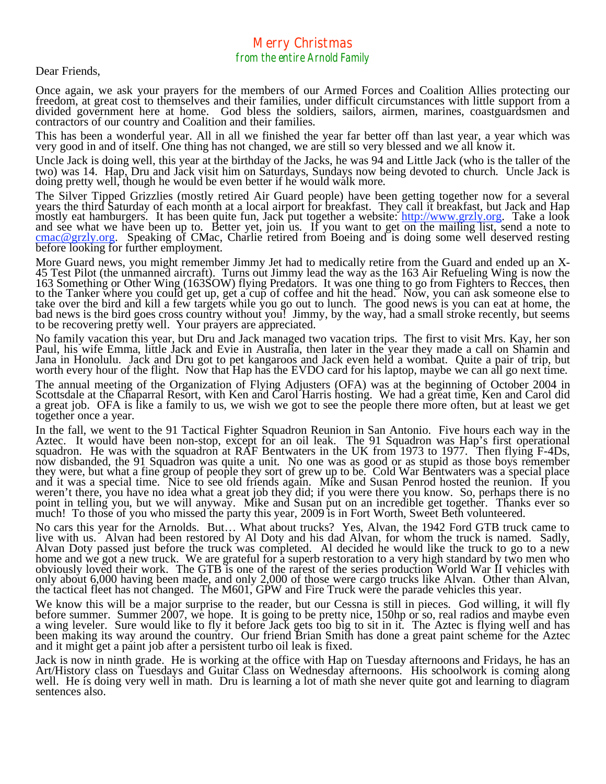## Merry Christmas from the entire Arnold Family

Dear Friends,

Once again, we ask your prayers for the members of our Armed Forces and Coalition Allies protecting our freedom, at great cost to themselves and their families, under difficult circumstances with little support from a divided government here at home. God bless the soldiers, sailors, airmen, marines, coastguardsmen and contractors of our country and Coalition and their families.

This has been a wonderful year. All in all we finished the year far better off than last year, a year which was very good in and of itself. One thing has not changed, we are still so very blessed and we all know it.

Uncle Jack is doing well, this year at the birthday of the Jacks, he was 94 and Little Jack (who is the taller of the two) was 14. Hap, Dru and Jack visit him on Saturdays, Sundays now being devoted to church. Uncle Jack is doing pretty well, though he would be even better if he would walk more.

The Silver Tipped Grizzlies (mostly retired Air Guard people) have been getting together now for a several years the third Saturday of each month at a local airport for breakfast. They call it breakfast, but Jack and Hap mostly eat hamburgers. It has been quite fun, Jack put together a website: http://www.grzly.org. Take a look and see what we have been up to. Better yet, join us. If you want to get on the mailing list, send a note to conac@grzly.org. Speaking of CMac, Charlie retired from Boeing and is doing some well deserved resting before loo

More Guard news, you might remember Jimmy Jet had to medically retire from the Guard and ended up an X- 45 Test Pilot (the unmanned aircraft). Turns out Jimmy lead the way as the 163 Air Refueling Wing is now the 163 Something or Other Wing (163SOW) flying Predators. It was one thing to go from Fighters to Recces, then to the Tanker where you could get up, get a cup of coffee and hit the head. Now, you can ask someone else to take over the bird and kill a few targets while you go out to lunch. The good news is you can eat at home, the<br>bad news is the bird goes cross country without you! Jimmy, by the way, had a small stroke recently, but seems<br>

No family vacation this year, but Dru and Jack managed two vacation trips. The first to visit Mrs. Kay, her son Paul, his wife Emma, little Jack and Evie in Australia, then later in the year they made a call on Shamin and Jana in Honolulu. Jack and Dru got to pet kangaroos and Jack even held a wombat. Quite a pair of trip, but worth every hour of the flight. Now that Hap has the EVDO card for his laptop, maybe we can all go next time.

The annual meeting of the Organization of Flying Adjusters (OFA) was at the beginning of October 2004 in Scottsdale at the Chaparral Resort, with Ken and Carol Harris hosting. We had a great time, Ken and Carol did a great job. OFA is like a family to us, we wish we got to see the people there more often, but at least we get together once a year.

In the fall, we went to the 91 Tactical Fighter Squadron Reunion in San Antonio. Five hours each way in the Aztec. It would have been non-stop, except for an oil leak. The 91 Squadron was Hap's first operational squadron. He was with the squadron at RAF Bentwaters in the UK from 1973 to 1977. Then flying F-4Ds, now disbanded, the 91 Squadron was quite a unit. No one was as good or as stupid as those boys remember they were, but wh point in telling you, but we will anyway. Mike and Susan put on an incredible get together. Thanks ever so much! To those of you who missed the party this year, 2009 is in Fort Worth, Sweet Beth volunteered.

No cars this year for the Arnolds. But… What about trucks? Yes, Alvan, the 1942 Ford GTB truck came to live with us. Alvan had been restored by Al Doty and his dad Alvan, for whom the truck is named. Sadly, Alvan Doty passed just before the truck was completed. Al decided he would like the truck to go to a new home and we g

We know this will be a major surprise to the reader, but our Cessna is still in pieces. God willing, it will fly<br>before summer. Summer 2007, we hope. It is going to be pretty nice, 150hp or so, real radios and maybe even<br>a been making its way around the country. Our friend Brian Smith has done a great paint scheme for the Aztec and it might get a paint job after a persistent turbo oil leak is fixed.

Jack is now in ninth grade. He is working at the office with Hap on Tuesday afternoons and Fridays, he has an Art/History class on Tuesdays and Guitar Class on Wednesday afternoons. His schoolwork is coming along well. He